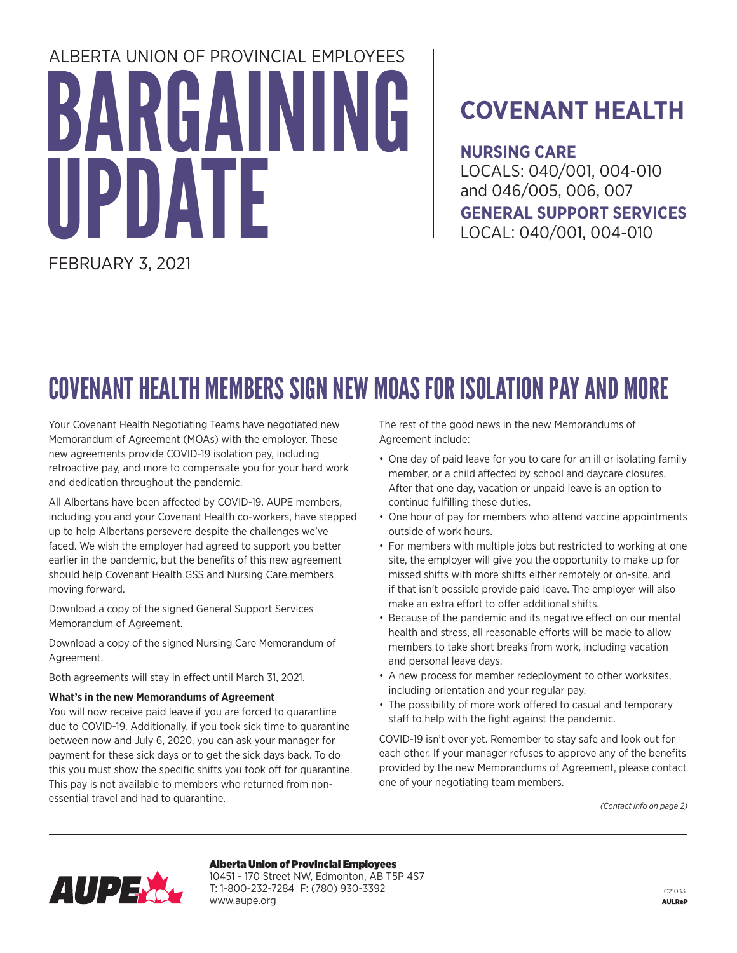# BARGAINING ATF ALBERTA UNION OF PROVINCIAL EMPLOYEES

FEBRUARY 3, 2021

### **COVENANT HEALTH**

**NURSING CARE**  LOCALS: 040/001, 004-010 and 046/005, 006, 007 **GENERAL SUPPORT SERVICES**  LOCAL: 040/001, 004-010

## COVENANT HEALTH MEMBERS SIGN NEW MOAS FOR ISOLATION PAY AND MORE

Your Covenant Health Negotiating Teams have negotiated new Memorandum of Agreement (MOAs) with the employer. These new agreements provide COVID-19 isolation pay, including retroactive pay, and more to compensate you for your hard work and dedication throughout the pandemic.

All Albertans have been affected by COVID-19. AUPE members, including you and your Covenant Health co-workers, have stepped up to help Albertans persevere despite the challenges we've faced. We wish the employer had agreed to support you better earlier in the pandemic, but the benefits of this new agreement should help Covenant Health GSS and Nursing Care members moving forward.

Download a copy of the signed General Support Services Memorandum of Agreement.

Download a copy of the signed Nursing Care Memorandum of Agreement.

Both agreements will stay in effect until March 31, 2021.

#### **What's in the new Memorandums of Agreement**

You will now receive paid leave if you are forced to quarantine due to COVID-19. Additionally, if you took sick time to quarantine between now and July 6, 2020, you can ask your manager for payment for these sick days or to get the sick days back. To do this you must show the specific shifts you took off for quarantine. This pay is not available to members who returned from nonessential travel and had to quarantine.

The rest of the good news in the new Memorandums of Agreement include:

- One day of paid leave for you to care for an ill or isolating family member, or a child affected by school and daycare closures. After that one day, vacation or unpaid leave is an option to continue fulfilling these duties.
- One hour of pay for members who attend vaccine appointments outside of work hours.
- For members with multiple jobs but restricted to working at one site, the employer will give you the opportunity to make up for missed shifts with more shifts either remotely or on-site, and if that isn't possible provide paid leave. The employer will also make an extra effort to offer additional shifts.
- Because of the pandemic and its negative effect on our mental health and stress, all reasonable efforts will be made to allow members to take short breaks from work, including vacation and personal leave days.
- A new process for member redeployment to other worksites, including orientation and your regular pay.
- The possibility of more work offered to casual and temporary staff to help with the fight against the pandemic.

COVID-19 isn't over yet. Remember to stay safe and look out for each other. If your manager refuses to approve any of the benefits provided by the new Memorandums of Agreement, please contact one of your negotiating team members.

*(Contact info on page 2)*



Alberta Union of Provincial Employees

10451 - 170 Street NW, Edmonton, AB T5P 4S7 T: 1-800-232-7284 F: (780) 930-3392 www.aupe.org